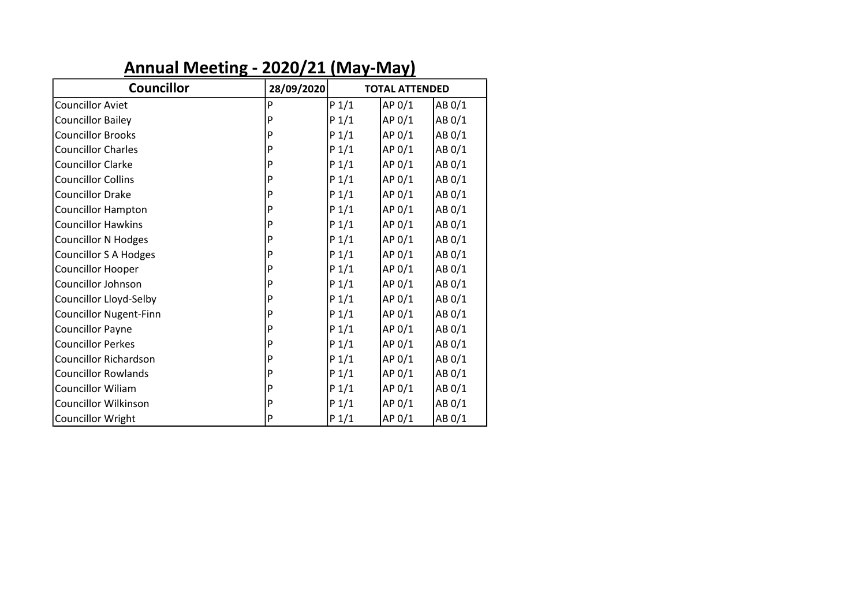# **Annual Meeting - 2020/21 (May-May)**

| <b>Councillor</b>             | 28/09/2020 | <b>TOTAL ATTENDED</b> |        |        |  |
|-------------------------------|------------|-----------------------|--------|--------|--|
| <b>Councillor Aviet</b>       | P          | P 1/1                 | AP 0/1 | AB 0/1 |  |
| <b>Councillor Bailey</b>      | P          | P 1/1                 | AP 0/1 | AB 0/1 |  |
| <b>Councillor Brooks</b>      | P          | $P_1/1$               | AP 0/1 | AB 0/1 |  |
| <b>Councillor Charles</b>     | P          | $P_1/1$               | AP 0/1 | AB 0/1 |  |
| <b>Councillor Clarke</b>      | P          | $P_1/1$               | AP 0/1 | AB 0/1 |  |
| <b>Councillor Collins</b>     | P          | $P_1/1$               | AP 0/1 | AB 0/1 |  |
| <b>Councillor Drake</b>       | P          | $P_1/1$               | AP 0/1 | AB 0/1 |  |
| <b>Councillor Hampton</b>     | P          | $P_1/1$               | AP 0/1 | AB 0/1 |  |
| <b>Councillor Hawkins</b>     | P          | $P_1/1$               | AP 0/1 | AB 0/1 |  |
| <b>Councillor N Hodges</b>    | P          | $P_1/1$               | AP 0/1 | AB 0/1 |  |
| <b>Councillor S A Hodges</b>  | P          | $P_1/1$               | AP 0/1 | AB 0/1 |  |
| <b>Councillor Hooper</b>      | P          | $P_1/1$               | AP 0/1 | AB 0/1 |  |
| Councillor Johnson            | P          | $P_1/1$               | AP 0/1 | AB 0/1 |  |
| Councillor Lloyd-Selby        | P          | $P_1/1$               | AP 0/1 | AB 0/1 |  |
| <b>Councillor Nugent-Finn</b> | P          | $P_1/1$               | AP 0/1 | AB 0/1 |  |
| <b>Councillor Payne</b>       | P          | $P_1/1$               | AP 0/1 | AB 0/1 |  |
| <b>Councillor Perkes</b>      | P          | $P_1/1$               | AP 0/1 | AB 0/1 |  |
| <b>Councillor Richardson</b>  | P          | $P_1/1$               | AP 0/1 | AB 0/1 |  |
| <b>Councillor Rowlands</b>    | P          | $P_1/1$               | AP 0/1 | AB 0/1 |  |
| <b>Councillor Wiliam</b>      | P          | $P_1/1$               | AP 0/1 | AB 0/1 |  |
| <b>Councillor Wilkinson</b>   | P          | $P_1/1$               | AP 0/1 | AB 0/1 |  |
| <b>Councillor Wright</b>      | P          | $P_1/1$               | AP 0/1 | AB 0/1 |  |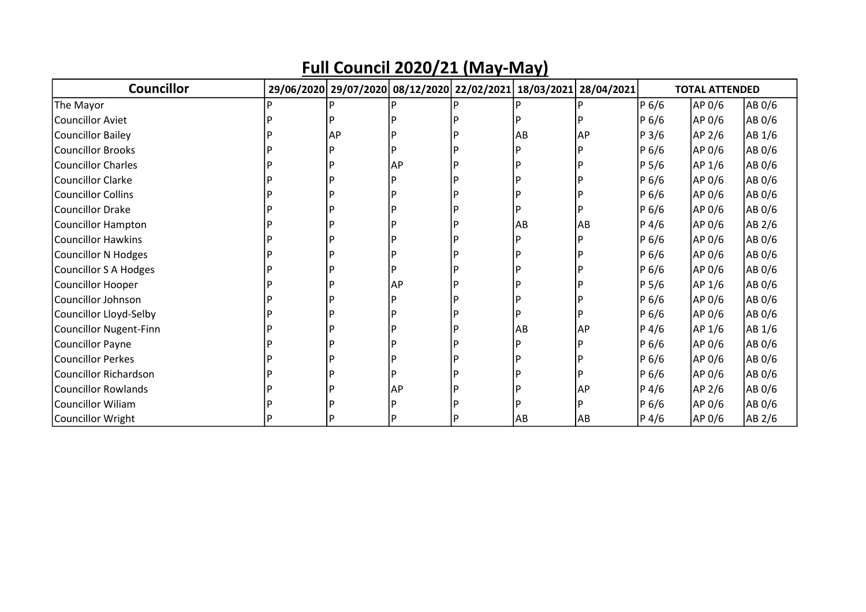| <b>Councillor</b>             | 29/06/2020 29/07/2020 08/12/2020 22/02/2021 18/03/2021 28/04/2021 |    |    |            |                  | <b>TOTAL ATTENDED</b> |        |
|-------------------------------|-------------------------------------------------------------------|----|----|------------|------------------|-----------------------|--------|
| The Mayor                     |                                                                   |    |    |            | P 6/6            | AP 0/6                | AB 0/6 |
| <b>Councillor Aviet</b>       |                                                                   |    |    |            | P 6/6            | AP 0/6                | AB 0/6 |
| <b>Councillor Bailey</b>      | AP                                                                |    | AB | AP         | P <sub>3/6</sub> | AP 2/6                | AB 1/6 |
| <b>Councillor Brooks</b>      |                                                                   |    |    |            | P 6/6            | AP 0/6                | AB 0/6 |
| <b>Councillor Charles</b>     |                                                                   | AP |    |            | P 5/6            | AP 1/6                | AB 0/6 |
| <b>Councillor Clarke</b>      |                                                                   |    |    |            | P 6/6            | AP 0/6                | AB 0/6 |
| <b>Councillor Collins</b>     |                                                                   |    |    |            | P 6/6            | AP 0/6                | AB 0/6 |
| <b>Councillor Drake</b>       |                                                                   |    |    |            | P 6/6            | AP 0/6                | AB 0/6 |
| <b>Councillor Hampton</b>     |                                                                   |    | AB | AB         | P 4/6            | AP 0/6                | AB 2/6 |
| <b>Councillor Hawkins</b>     |                                                                   |    |    |            | P 6/6            | AP 0/6                | AB 0/6 |
| <b>Councillor N Hodges</b>    |                                                                   |    |    |            | P 6/6            | AP 0/6                | AB 0/6 |
| <b>Councillor S A Hodges</b>  |                                                                   |    |    |            | P 6/6            | AP 0/6                | AB 0/6 |
| <b>Councillor Hooper</b>      |                                                                   | AP |    |            | P 5/6            | AP 1/6                | AB 0/6 |
| <b>Councillor Johnson</b>     |                                                                   |    |    |            | P 6/6            | AP 0/6                | AB 0/6 |
| Councillor Lloyd-Selby        |                                                                   |    |    |            | P 6/6            | AP 0/6                | AB 0/6 |
| <b>Councillor Nugent-Finn</b> |                                                                   |    | AB | AP         | P 4/6            | AP 1/6                | AB 1/6 |
| <b>Councillor Payne</b>       |                                                                   |    |    |            | P 6/6            | AP 0/6                | AB 0/6 |
| <b>Councillor Perkes</b>      |                                                                   |    |    |            | P 6/6            | AP 0/6                | AB 0/6 |
| <b>Councillor Richardson</b>  |                                                                   |    |    |            | P 6/6            | AP 0/6                | AB 0/6 |
| <b>Councillor Rowlands</b>    |                                                                   | AP |    | <b>IAP</b> | $P\,4/6$         | AP 2/6                | AB 0/6 |
| <b>Councillor Wiliam</b>      |                                                                   |    |    |            | P 6/6            | AP 0/6                | AB 0/6 |
| Councillor Wright             |                                                                   |    | AB | AB         | $P\,4/6$         | AP 0/6                | AB 2/6 |

### **Full Council 2020/21 (May-May)**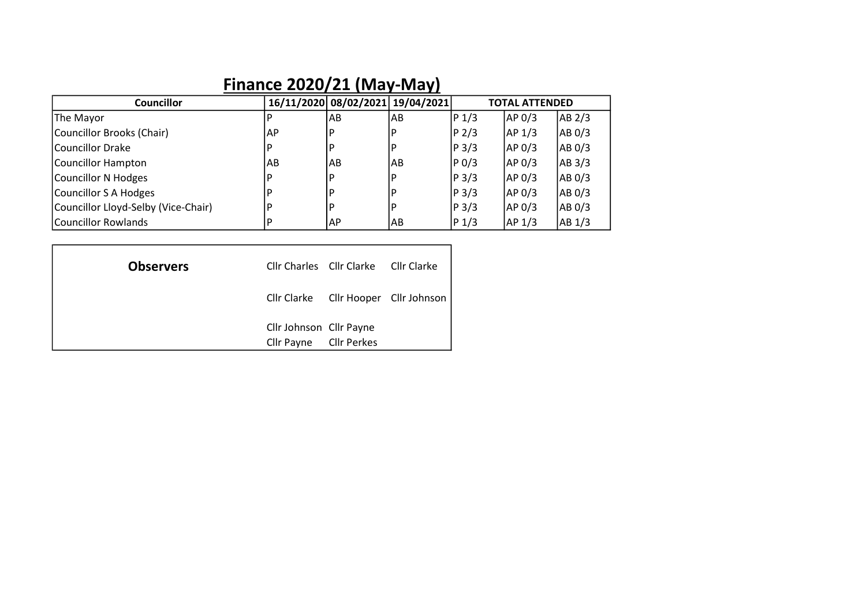# **Finance 2020/21 (May-May)**

| <b>Councillor</b>                   |      | 16/11/2020 08/02/2021 19/04/2021 |    |                   | TOTAL ATTENDED    |                   |
|-------------------------------------|------|----------------------------------|----|-------------------|-------------------|-------------------|
| The Mayor                           |      | AB                               | AB | P <sub>1/3</sub>  | AP 0/3            | AB 2/3            |
| Councillor Brooks (Chair)           | AP   | P                                | D  | P <sub>2/3</sub>  | AP <sub>1/3</sub> | AB 0/3            |
| lCouncillor Drake                   |      | P                                | D  | P <sub>3/3</sub>  | AP 0/3            | AB 0/3            |
| Councillor Hampton                  | lAB. | AB                               | AB | P <sub>0</sub> /3 | AP 0/3            | AB <sub>3/3</sub> |
| Councillor N Hodges                 |      | P                                | D  | P <sub>3/3</sub>  | AP 0/3            | AB 0/3            |
| Councillor S A Hodges               |      | P                                | D  | P <sub>3/3</sub>  | AP 0/3            | AB 0/3            |
| Councillor Lloyd-Selby (Vice-Chair) |      | P                                | D  | P <sub>3/3</sub>  | AP 0/3            | AB 0/3            |
| Councillor Rowlands                 |      | AP                               | AB | P <sub>1/3</sub>  | AP 1/3            | AB 1/3            |

| <b>Observers</b> |                                                   | Cllr Charles Cllr Clarke Cllr Clarke |                                      |
|------------------|---------------------------------------------------|--------------------------------------|--------------------------------------|
|                  |                                                   |                                      | Cllr Clarke Cllr Hooper Cllr Johnson |
|                  | Cllr Johnson Cllr Payne<br>Cllr Payne Cllr Perkes |                                      |                                      |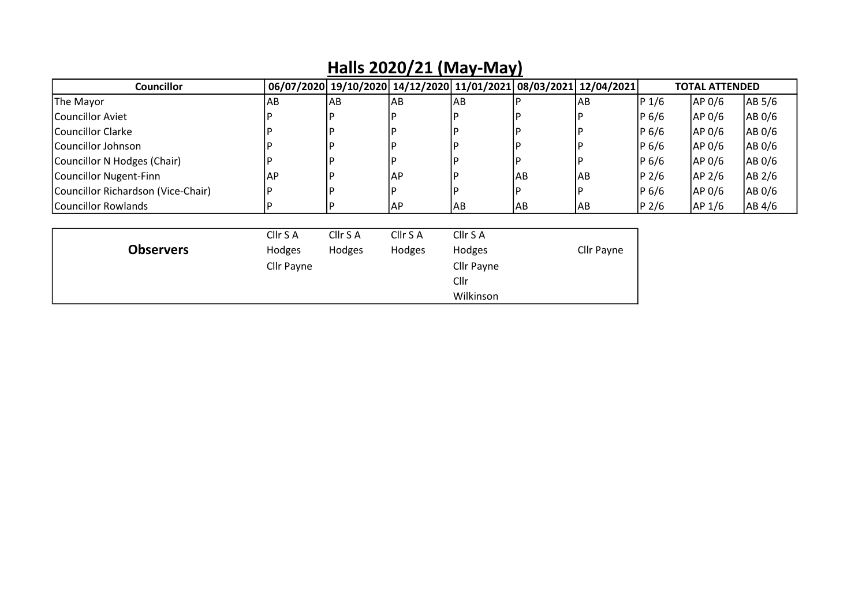| <b>Councillor</b>                  |            | 06/07/2020 19/10/2020 14/12/2020 11/01/2021 08/03/2021 |           |                   |     | 12/04/2021 |                  | TOTAL ATTENDED |        |
|------------------------------------|------------|--------------------------------------------------------|-----------|-------------------|-----|------------|------------------|----------------|--------|
| The Mayor                          | AB         | lAB                                                    | AB        | AB                |     | AB         | $P_1/6$          | AP 0/6         | AB 5/6 |
| Councillor Aviet                   |            |                                                        |           |                   |     |            | $P_6/6$          | AP 0/6         | AB 0/6 |
| Councillor Clarke                  |            |                                                        |           |                   |     |            | $P_6/6$          | AP 0/6         | AB 0/6 |
| Councillor Johnson                 |            |                                                        |           |                   |     |            | $P_6/6$          | AP 0/6         | AB 0/6 |
| Councillor N Hodges (Chair)        | D          |                                                        | D         |                   |     |            | P <sub>6/6</sub> | AP 0/6         | AB 0/6 |
| Councillor Nugent-Finn             | AP         |                                                        | <b>AP</b> |                   | AB  | <b>AB</b>  | P <sub>2/6</sub> | AP 2/6         | AB 2/6 |
| Councillor Richardson (Vice-Chair) |            |                                                        |           |                   |     |            | $P_6/6$          | AP 0/6         | AB 0/6 |
| Councillor Rowlands                | D          |                                                        | AP        | IAB               | IAB | AB         | P <sub>2/6</sub> | AP 1/6         | AB 4/6 |
|                                    | Cllr S A   | Cllr S A                                               | Cllr S A  | Cllr S A          |     |            |                  |                |        |
| <b>Observers</b>                   | Hodges     | Hodges                                                 | Hodges    | Hodges            |     | Cllr Payne |                  |                |        |
|                                    | Cllr Payne |                                                        |           | <b>Cllr Payne</b> |     |            |                  |                |        |
|                                    |            |                                                        |           | Cllr              |     |            |                  |                |        |
|                                    |            |                                                        |           | Wilkinson         |     |            |                  |                |        |

#### **Halls 2020/21 (May-May)**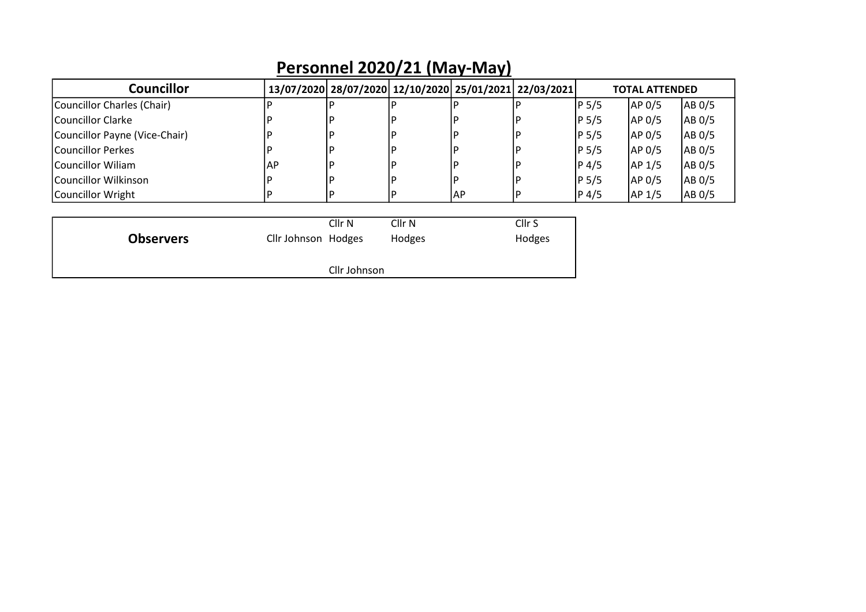| <b>Councillor</b>             |                     | 13/07/2020 28/07/2020 12/10/2020 25/01/2021 22/03/2021 |                   |    |                   |       | <b>TOTAL ATTENDED</b> |        |
|-------------------------------|---------------------|--------------------------------------------------------|-------------------|----|-------------------|-------|-----------------------|--------|
| Councillor Charles (Chair)    |                     |                                                        |                   |    |                   | P 5/5 | AP 0/5                | AB 0/5 |
| Councillor Clarke             |                     |                                                        |                   |    |                   | P 5/5 | AP 0/5                | AB 0/5 |
| Councillor Payne (Vice-Chair) |                     |                                                        |                   |    |                   | P 5/5 | AP 0/5                | AB 0/5 |
| Councillor Perkes             |                     |                                                        |                   |    |                   | P 5/5 | AP 0/5                | AB 0/5 |
| lCouncillor Wiliam            | AP.                 |                                                        |                   |    |                   | P 4/5 | AP 1/5                | AB 0/5 |
| lCouncillor Wilkinson         |                     |                                                        |                   |    |                   | P 5/5 | AP 0/5                | AB 0/5 |
| Councillor Wright             | ח                   |                                                        |                   | AP | D                 | P 4/5 | AP <sub>1/5</sub>     | AB 0/5 |
|                               |                     |                                                        |                   |    |                   |       |                       |        |
|                               |                     | Cllr <sub>N</sub>                                      | Cllr <sub>N</sub> |    | Cllr <sub>S</sub> |       |                       |        |
| <b>Observers</b>              | Cllr Johnson Hodges |                                                        | Hodges            |    | Hodges            |       |                       |        |
| Cllr Johnson                  |                     |                                                        |                   |    |                   |       |                       |        |

# **Personnel 2020/21 (May-May)**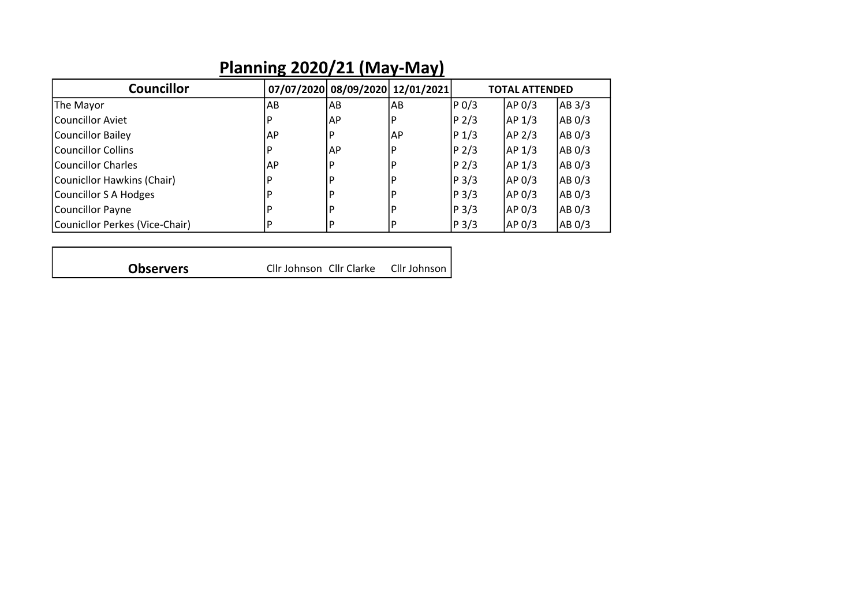| <b>Councillor</b>              |    | 07/07/2020 08/09/2020 12/01/2021 |           |                  | <b>TOTAL ATTENDED</b> |        |
|--------------------------------|----|----------------------------------|-----------|------------------|-----------------------|--------|
| The Mayor                      | AB | AB                               | l AB      | $P_0/3$          | AP 0/3                | AB 3/3 |
| Councillor Aviet               |    | <b>AP</b>                        | P         | P <sub>2/3</sub> | AP 1/3                | AB 0/3 |
| Councillor Bailey              | AP | P                                | <b>AP</b> | $P_1/3$          | AP 2/3                | AB 0/3 |
| lCouncillor Collins            |    | <b>AP</b>                        | P         | P <sub>2/3</sub> | AP 1/3                | AB 0/3 |
| <b>Councillor Charles</b>      | AP | P                                | D         | P <sub>2/3</sub> | AP <sub>1/3</sub>     | AB 0/3 |
| Counicllor Hawkins (Chair)     |    | P                                | D         | P <sub>3/3</sub> | AP 0/3                | AB 0/3 |
| Councillor S A Hodges          |    | P                                | D         | P <sub>3/3</sub> | AP 0/3                | AB 0/3 |
| Councillor Payne               |    | P                                | D         | P <sub>3/3</sub> | AP 0/3                | AB 0/3 |
| Counicllor Perkes (Vice-Chair) |    | P                                | p         | P <sub>3/3</sub> | AP 0/3                | AB 0/3 |

### **Planning 2020/21 (May-May)**

Cllr Johnson Cllr Clarke Cllr Johnson **Observers**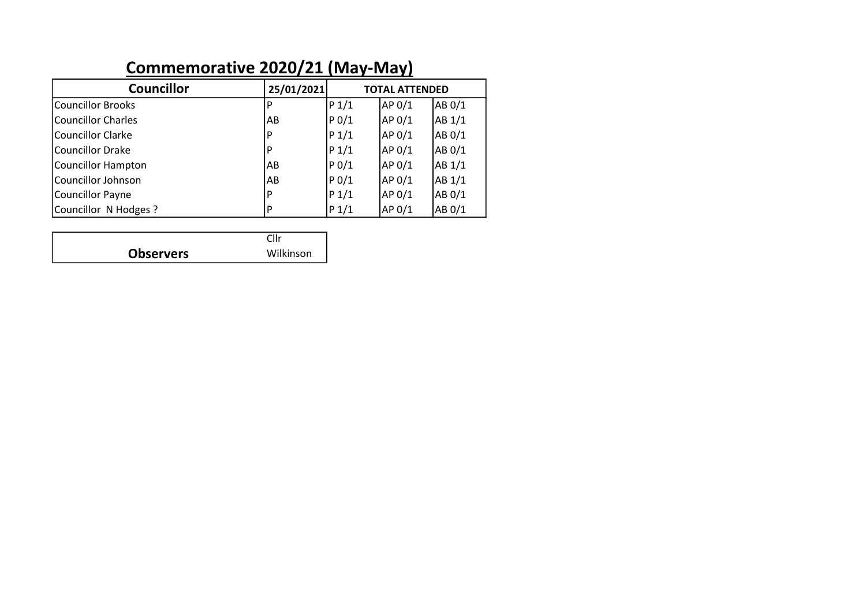# **Commemorative 2020/21 (May-May)**

| <b>Councillor</b>         | 25/01/2021 | <b>TOTAL ATTENDED</b> |        |        |  |
|---------------------------|------------|-----------------------|--------|--------|--|
| <b>Councillor Brooks</b>  | P          | $P_1/1$               | AP 0/1 | AB 0/1 |  |
| <b>Councillor Charles</b> | AB         | P <sub>0</sub> /1     | AP 0/1 | AB 1/1 |  |
| <b>Councillor Clarke</b>  | P          | $P_1/1$               | AP 0/1 | AB 0/1 |  |
| <b>Councillor Drake</b>   | P          | $P_1/1$               | AP 0/1 | AB 0/1 |  |
| <b>Councillor Hampton</b> | AB         | P <sub>0</sub> /1     | AP 0/1 | AB 1/1 |  |
| <b>Councillor Johnson</b> | AB         | $P_0/1$               | AP 0/1 | AB 1/1 |  |
| <b>Councillor Payne</b>   | P          | $P_1/1$               | AP 0/1 | AB 0/1 |  |
| Councillor N Hodges?      | P          | P 1/1                 | AP 0/1 | AB 0/1 |  |

|                  | Cllr. |
|------------------|-------|
| <b>Observers</b> | Wilk  |

Wilkinson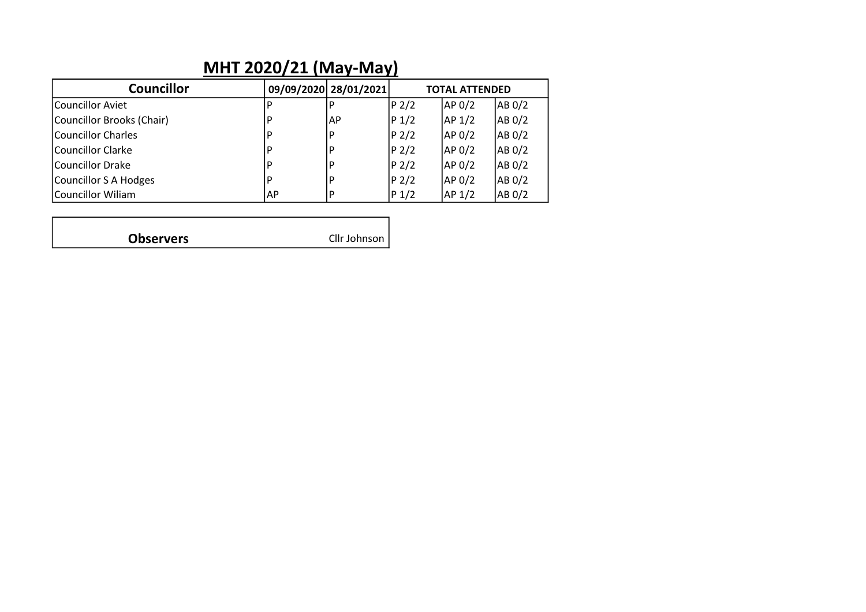#### **MHT 2020/21 (May-May)**

| <b>Councillor</b>         |      | 09/09/2020 28/01/2021 |                  | <b>TOTAL ATTENDED</b> |        |
|---------------------------|------|-----------------------|------------------|-----------------------|--------|
| Councillor Aviet          |      | l P                   | P 2/2            | AP 0/2                | AB 0/2 |
| Councillor Brooks (Chair) | l D  | IAP                   | $P_1/2$          | AP <sub>1/2</sub>     | AB 0/2 |
| Councillor Charles        | ١D   | l P                   | P <sub>2/2</sub> | AP 0/2                | AB 0/2 |
| Councillor Clarke         | ١D   | l P                   | P <sub>2/2</sub> | AP <sub>0/2</sub>     | AB 0/2 |
| Councillor Drake          | l D  | l P                   | P <sub>2/2</sub> | AP <sub>0/2</sub>     | AB 0/2 |
| Councillor S A Hodges     | ם ו  | l P                   | P <sub>2/2</sub> | AP 0/2                | AB 0/2 |
| Councillor Wiliam         | IAP. | l P                   | $P_1/2$          | AP <sub>1/2</sub>     | AB 0/2 |

| <b>Observers</b> | Cllr Johnson |
|------------------|--------------|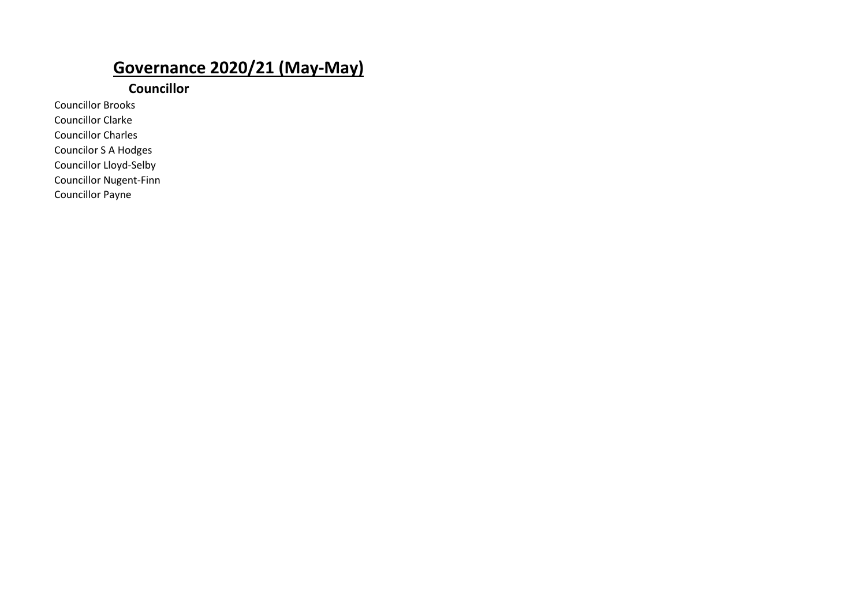#### **Governance 2020/21 (May-May)**

**Councillor**

Councillor Brooks Councillor Clarke Councillor Charles

Councilor S A Hodges

Councillor Lloyd-Selby

Councillor Nugent-Finn

Councillor Payne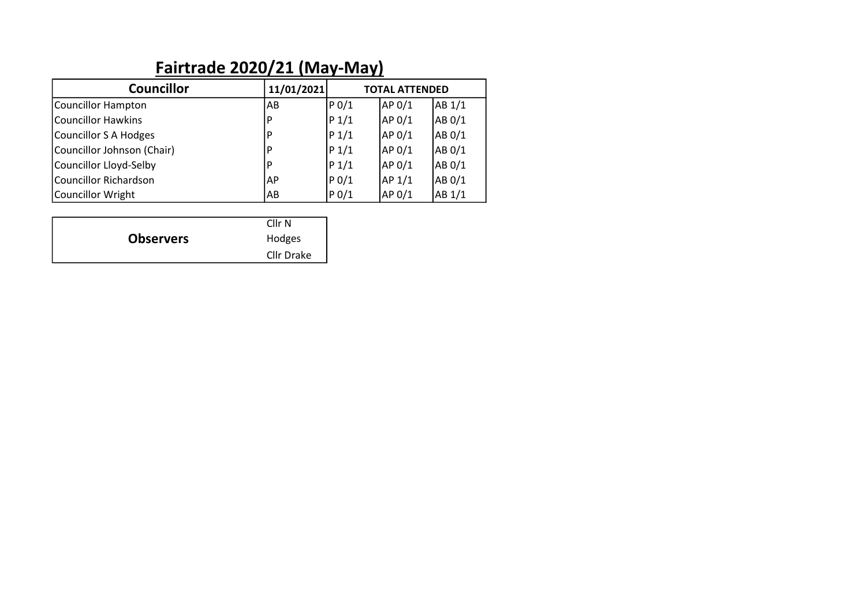| Fairtrade 2020/21 (May-May)  |            |                       |                   |        |  |  |  |  |
|------------------------------|------------|-----------------------|-------------------|--------|--|--|--|--|
| <b>Councillor</b>            | 11/01/2021 | <b>TOTAL ATTENDED</b> |                   |        |  |  |  |  |
| Councillor Hampton           | lAB        | P <sub>0</sub> /1     | AP 0/1            | AB 1/1 |  |  |  |  |
| <b>Councillor Hawkins</b>    | P          | $P_1/1$               | AP 0/1            | AB 0/1 |  |  |  |  |
| Councillor S A Hodges        | P          | $P_1/1$               | AP 0/1            | AB 0/1 |  |  |  |  |
| Councillor Johnson (Chair)   | D          | $P_1/1$               | AP 0/1            | AB 0/1 |  |  |  |  |
| Councillor Lloyd-Selby       | P          | $P_1/1$               | AP 0/1            | AB 0/1 |  |  |  |  |
| <b>Councillor Richardson</b> | l AP       | P <sub>0</sub> /1     | AP <sub>1/1</sub> | AB 0/1 |  |  |  |  |
| Councillor Wright            | AB         | $P_0/1$               | AP <sub>0/1</sub> | AB 1/1 |  |  |  |  |
|                              |            |                       |                   |        |  |  |  |  |

|                  | Cllr <sub>N</sub> |
|------------------|-------------------|
| <b>Observers</b> | Hodges            |
|                  | Cllr Drake        |

#### **Fairtrade 2020/21 (May-May)**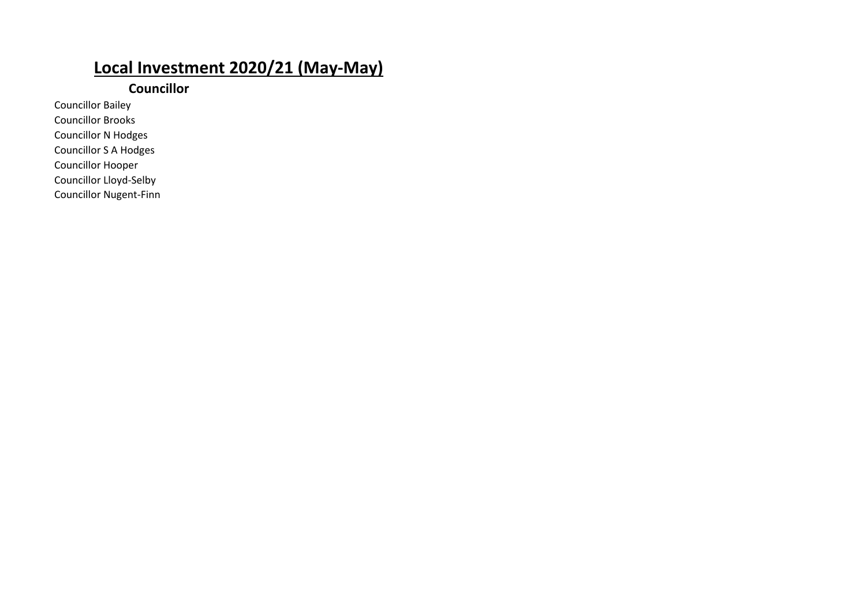#### **Local Investment 2020/21 (May-May)**

#### **Councillor**

Councillor Bailey Councillor Brooks Councillor N Hodges

Councillor S A Hodges

Councillor Hooper Councillor Lloyd-Selby

Councillor Nugent-Finn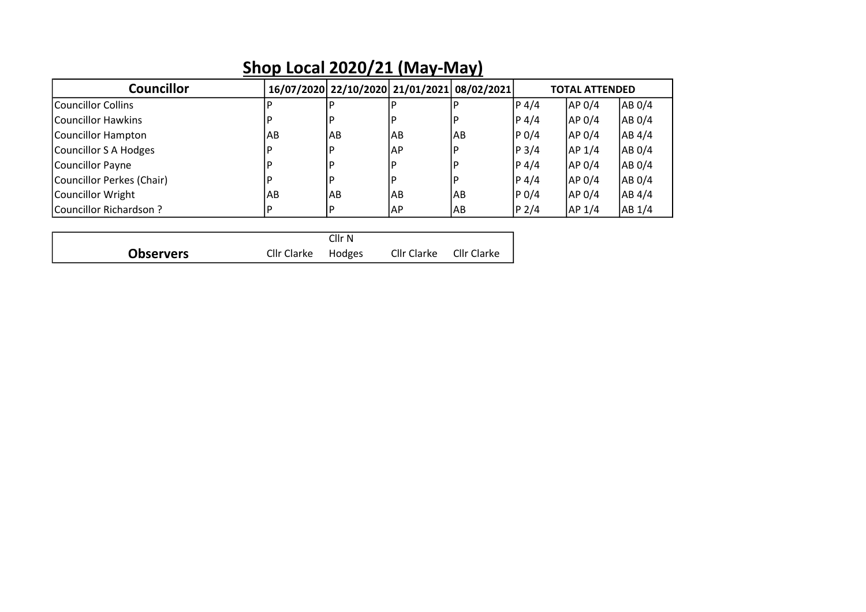| <b>Councillor</b>         |    | 16/07/2020 22/10/2020 21/01/2021 08/02/2021 |    |    |         | <b>TOTAL ATTENDED</b> |        |
|---------------------------|----|---------------------------------------------|----|----|---------|-----------------------|--------|
| Councillor Collins        |    |                                             |    |    | P 4/4   | AP 0/4                | AB 0/4 |
| lCouncillor Hawkins       | P  | P                                           | P  |    | P 4/4   | AP 0/4                | AB 0/4 |
| Councillor Hampton        | AB | AB                                          | AB | AB | P 0/4   | AP 0/4                | AB 4/4 |
| Councillor S A Hodges     | P  | P                                           | AP |    | $P$ 3/4 | AP 1/4                | AB 0/4 |
| Councillor Payne          | D  | P                                           | P  |    | P 4/4   | AP 0/4                | AB 0/4 |
| Councillor Perkes (Chair) | P  | P                                           | P  |    | P 4/4   | AP 0/4                | AB 0/4 |
| Councillor Wright         | AB | AB                                          | AB | AB | $P_0/4$ | AP 0/4                | AB 4/4 |
| Councillor Richardson?    | P  | P                                           | AP | AB | $P$ 2/4 | AP <sub>1/4</sub>     | AB 1/4 |
|                           |    |                                             |    |    |         |                       |        |
|                           |    |                                             |    |    |         |                       |        |

Cllr Clarke Cllr Clarke

Cllr Clarke Hodges

**Observers**

#### **Shop Local 2020/21 (May-May)**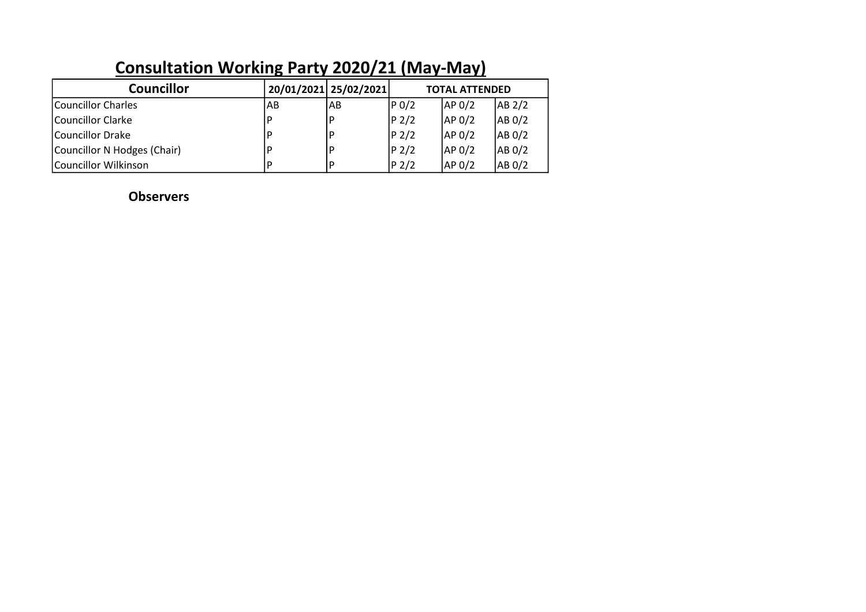|                             | . . |                       |                       |                   |        |  |
|-----------------------------|-----|-----------------------|-----------------------|-------------------|--------|--|
| <b>Councillor</b>           |     | 20/01/2021 25/02/2021 | <b>TOTAL ATTENDED</b> |                   |        |  |
| Councillor Charles          | AB  | IAB                   | P 0/2                 | AP <sub>0/2</sub> | AB 2/2 |  |
| Councillor Clarke           |     | l P                   | P <sub>2/2</sub>      | AP <sub>0/2</sub> | AB 0/2 |  |
| Councillor Drake            |     | P                     | P <sub>2/2</sub>      | AP <sub>0/2</sub> | AB 0/2 |  |
| Councillor N Hodges (Chair) |     | l P                   | $ P_2/2 $             | AP <sub>0/2</sub> | AB 0/2 |  |
| Councillor Wilkinson        |     | l P                   | P <sub>2/2</sub>      | AP <sub>0/2</sub> | AB 0/2 |  |

### **Consultation Working Party 2020/21 (May-May)**

**Observers**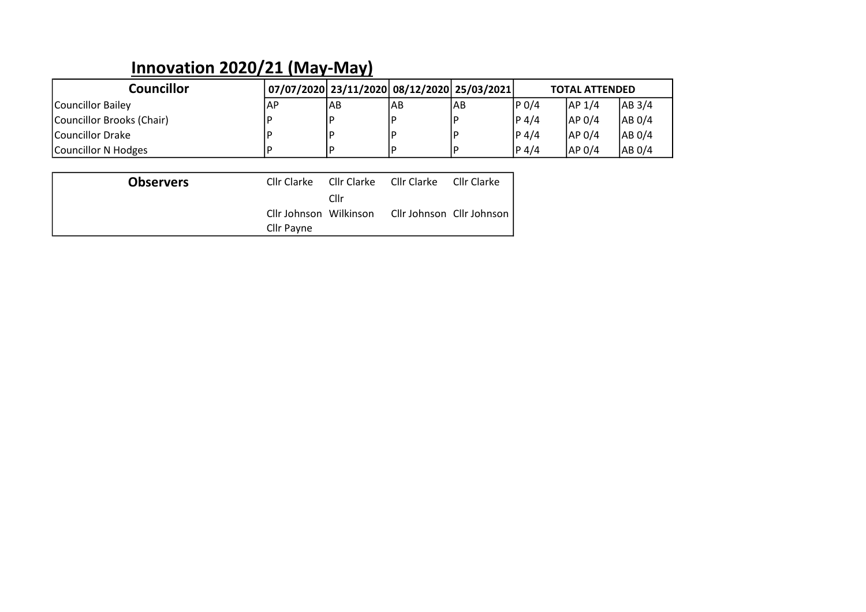#### **Innovation 2020/21 (May-May)**

| Councillor                | 07/07/2020  23/11/2020  08/12/2020  25/03/2021 |           |     |     |           | <b>TOTAL ATTENDED</b> |        |
|---------------------------|------------------------------------------------|-----------|-----|-----|-----------|-----------------------|--------|
| Councillor Bailey         | <b>IAP</b>                                     | <b>AB</b> | lAB | IAB | P 0/4     | AP <sub>1/4</sub>     | AB 3/4 |
| Councillor Brooks (Chair) |                                                |           |     |     | $ P_4/4 $ | AP <sub>0/4</sub>     | AB 0/4 |
| <b>ICouncillor Drake</b>  |                                                |           |     |     | $ P_4/4 $ | AP <sub>0/4</sub>     | AB 0/4 |
| Councillor N Hodges       |                                                |           |     |     | P 4/4     | <b>JAP 0/4</b>        | AB 0/4 |

| <b>Observers</b> |                        |      | Cllr Clarke Cllr Clarke Cllr Clarke Cllr Clarke |  |
|------------------|------------------------|------|-------------------------------------------------|--|
|                  |                        | Cllr |                                                 |  |
|                  | Cllr Johnson Wilkinson |      | Cllr Johnson Cllr Johnson                       |  |
|                  | Cllr Payne             |      |                                                 |  |